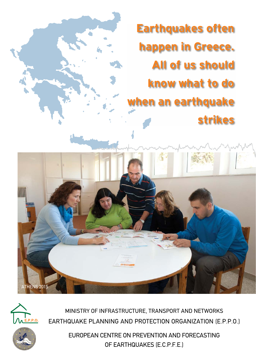**Earthquakes often happen in Greece. All of us should know what to do when an earthquake strikes**



IIIII

**ATHENS 2015** 

Ministry of Infrastructure, Transport and Networks EARTHQUAKE PLANNING AND PROTECTION ORGANIZATION (E.P.P.O.)

> EUROPEAN CENTRE ΟΝ PREVENTION AND FORΕCASTING OF EARTHQUAKES (E.C.P.F.E.)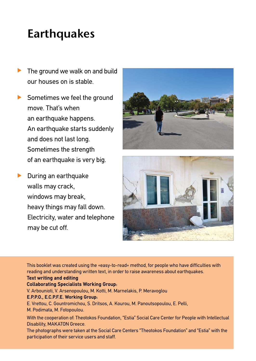## **Earthquakes**

- The ground we walk on and build our houses on is stable.  $\blacktriangleright$
- ▶ Sometimes we feel the ground move. That's when an earthquake happens. An earthquake starts suddenly and does not last long. Sometimes the strength of an earthquake is very big.
- **During an earthquake** walls may crack, windows may break, heavy things may fall down. Electricity, water and telephone may be cut off.





This booklet was created using the «easy-to-read» method, for people who have difficulties with reading and understanding written text, in order to raise awareness about earthquakes.

### **Text writing and editing**

### **Collaborating Specialists Working Group:**

V. Arbounioti, V. Arsenopoulou, M. Kotti, M. Marnelakis, P. Meravoglou

### **E.P.P.O., E.C.P.F.E. Working Group:**

E. Vrettou, C. Gountromichou, S. Dritsos, A. Kourou, M. Panoutsopoulou, E. Pelli,

M. Podimata, M. Fotopoulou.

With the cooperation of: Theotokos Foundation, "Estia" Social Care Center for People with Intellectual Disability, MAKATON Greece.

The photographs were taken at the Social Care Centers "Theotokos Foundation" and "Estia" with the participation of their service users and staff.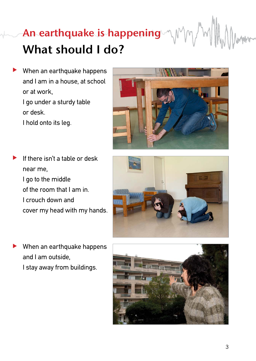# **An earthquake is happening What should I do?**

- When an earthquake happens and I am in a house, at school or at work, I go under a sturdy table or desk. I hold onto its leg.  $\blacktriangleright$
- If there isn't a table or desk near me, I go to the middle of the room that I am in. I crouch down and cover my head with my hands.  $\blacktriangleright$
- When an earthquake happens and I am outside,  $\blacktriangleright$ 
	- I stay away from buildings.





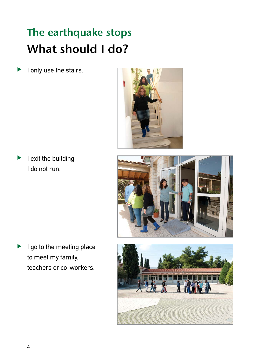## **The earthquake stops What should I do?**

I only use the stairs.  $\blacktriangleright$ 



Ι exit the building. I do not run.  $\blacktriangleright$ 



I go to the meeting place to meet my family, teachers or co-workers.  $\blacktriangleright$ 

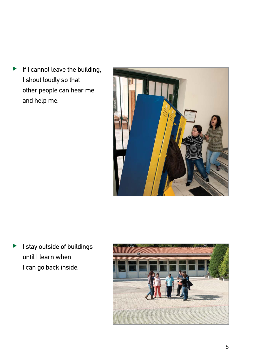If I cannot leave the building, I shout loudly so that other people can hear me and help me.  $\blacktriangleright$ 



I stay outside of buildings until I learn when I can go back inside.  $\blacktriangleright$ 

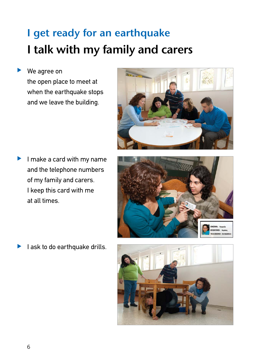## **I get ready for an earthquake I talk with my family and carers**

#### We agree on  $\blacktriangleright$

the open place to meet at when the earthquake stops and we leave the building.



I make a card with my name and the telephone numbers of my family and carers. I keep this card with me at all times.  $\blacktriangleright$ 



I ask to do earthquake drills.  $\blacktriangleright$ 

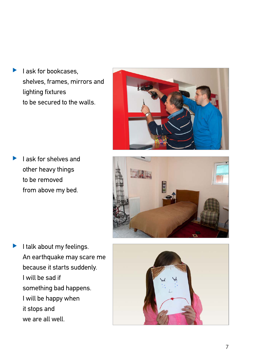I ask for bookcases, shelves, frames, mirrors and lighting fixtures to be secured to the walls.  $\blacktriangleright$ 



I ask for shelves and other heavy things to be removed from above my bed.  $\blacktriangleright$ 



I talk about my feelings. An earthquake may scare me because it starts suddenly. I will be sad if something bad happens. I will be happy when it stops and we are all well.  $\blacktriangleright$